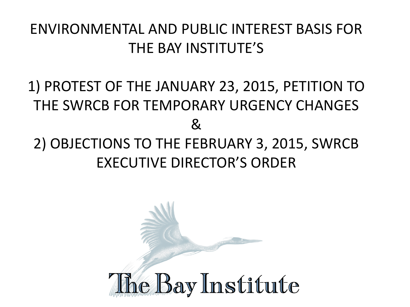#### ENVIRONMENTAL AND PUBLIC INTEREST BASIS FOR THE BAY INSTITUTE'S

## 1) PROTEST OF THE JANUARY 23, 2015, PETITION TO THE SWRCB FOR TEMPORARY URGENCY CHANGES & 2) OBJECTIONS TO THE FEBRUARY 3, 2015, SWRCB EXECUTIVE DIRECTOR'S ORDER

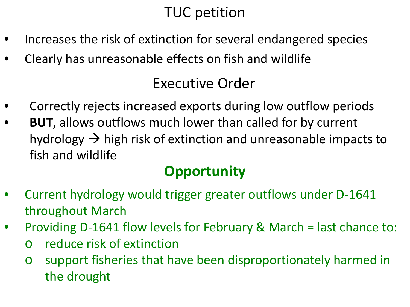## TUC petition

- Increases the risk of extinction for several endangered species
- Clearly has unreasonable effects on fish and wildlife

#### Executive Order

- Correctly rejects increased exports during low outflow periods
- **BUT**, allows outflows much lower than called for by current hydrology  $\rightarrow$  high risk of extinction and unreasonable impacts to fish and wildlife

#### **Opportunity**

- Current hydrology would trigger greater outflows under D-1641 throughout March
- Providing D-1641 flow levels for February & March = last chance to:
	- reduce risk of extinction
	- o support fisheries that have been disproportionately harmed in the drought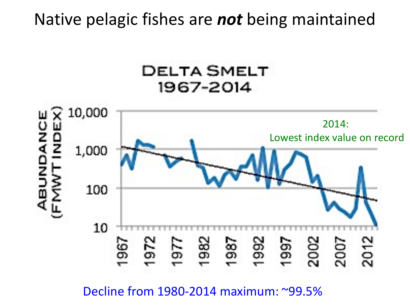#### Native pelagic fishes are *not* being maintained



Decline from 1980-2014 maximum: ~99.5%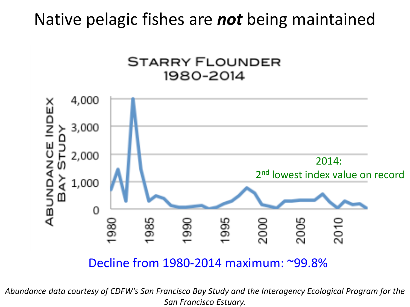#### Native pelagic fishes are *not* being maintained



#### Decline from 1980-2014 maximum: ~99.8%

*Abundance data courtesy of CDFW's San Francisco Bay Study and the Interagency Ecological Program for the San Francisco Estuary.*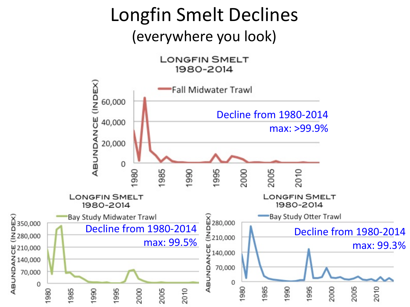#### Longfin Smelt Declines (everywhere you look) **LONGFIN SMELT** 1980-2014 (INDEX **Fall Midwater Trawl** 60,000 Decline from 1980-2014 ABUNDANCE 40,000 max: >99.9% 20,000  $\circ$ 985 1990 2005 1980 1995 2010 2000 **LONGFIN SMELT LONGFIN SMELT** 1980-2014 1980-2014 ?<br>a 350,000<br>Ξ 280,000 a<br>a<br>a<br>∈210,000 Bay Study Otter Trawl Bay Study Midwater Trawl Decline from 1980-2014 Decline from 1980-2014 max: 99.5%U 210,000<br>2 140,000<br>2 70,000<br>2 70,000<br>4 max: 99.3% ABUNDANCE 140,000 70,000 0 1985 1990 1995 2000 2005 2010 1980 1985 1995 2005 2010 2000 1980 990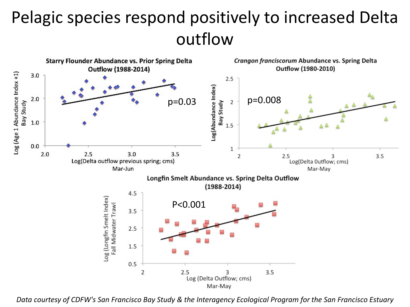# Pelagic species respond positively to increased Delta outflow



*Data courtesy of CDFW's San Francisco Bay Study & the Interagency Ecological Program for the San Francisco Estuary*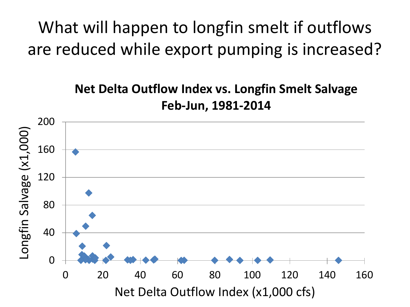What will happen to longfin smelt if outflows are reduced while export pumping is increased?

#### **Net Delta Outflow Index vs. Longfin Smelt Salvage Feb-Jun, 1981-2014**

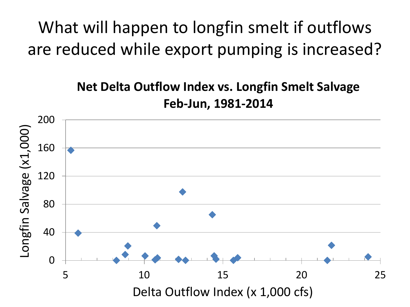What will happen to longfin smelt if outflows are reduced while export pumping is increased?

#### **Net Delta Outflow Index vs. Longfin Smelt Salvage Feb-Jun, 1981-2014**

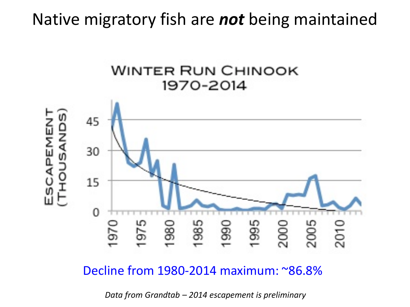#### Native migratory fish are *not* being maintained



#### Decline from 1980-2014 maximum: ~86.8%

*Data from Grandtab – 2014 escapement is preliminary*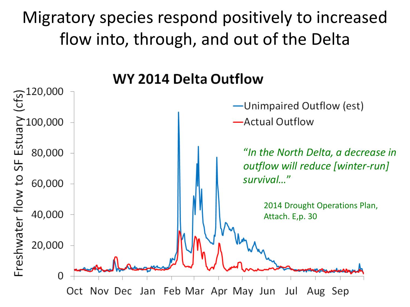# Migratory species respond positively to increased flow into, through, and out of the Delta

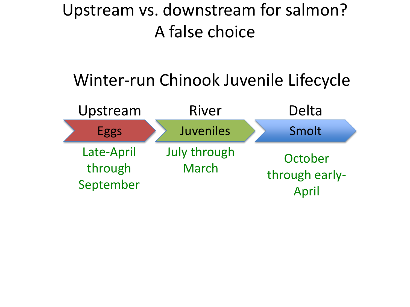## Winter-run Chinook Juvenile Lifecycle

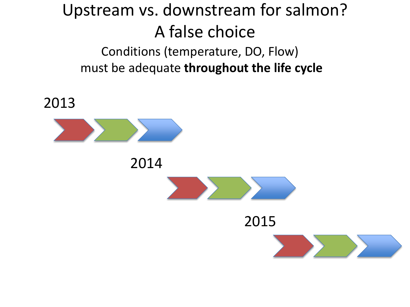Conditions (temperature, DO, Flow) must be adequate **throughout the life cycle**

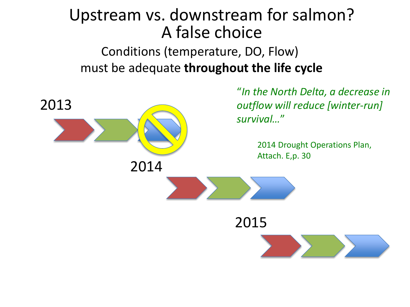Conditions (temperature, DO, Flow) must be adequate **throughout the life cycle**

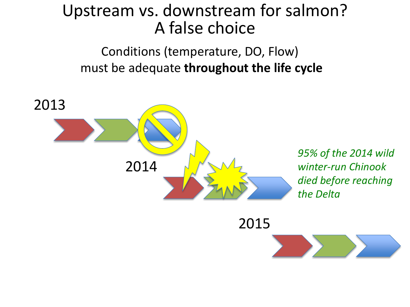Conditions (temperature, DO, Flow) must be adequate **throughout the life cycle**



2015

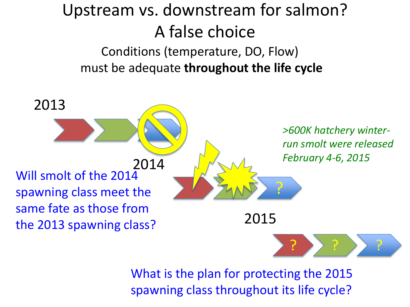Conditions (temperature, DO, Flow) must be adequate **throughout the life cycle**



What is the plan for protecting the 2015 spawning class throughout its life cycle?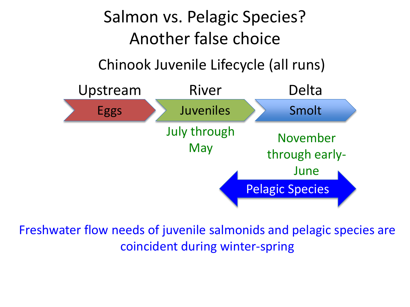

Freshwater flow needs of juvenile salmonids and pelagic species are coincident during winter-spring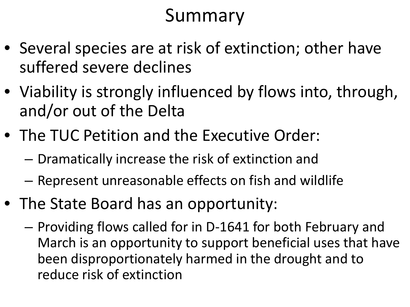# Summary

- Several species are at risk of extinction; other have suffered severe declines
- Viability is strongly influenced by flows into, through, and/or out of the Delta
- The TUC Petition and the Executive Order:
	- Dramatically increase the risk of extinction and
	- Represent unreasonable effects on fish and wildlife
- The State Board has an opportunity:
	- Providing flows called for in D-1641 for both February and March is an opportunity to support beneficial uses that have been disproportionately harmed in the drought and to reduce risk of extinction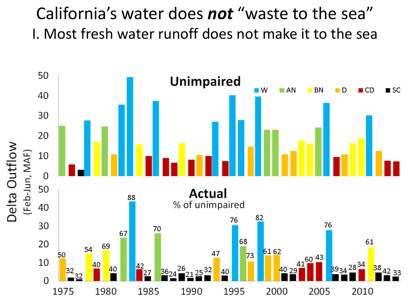California's water does *not* "waste to the sea" I. Most fresh water runoff does not make it to the sea

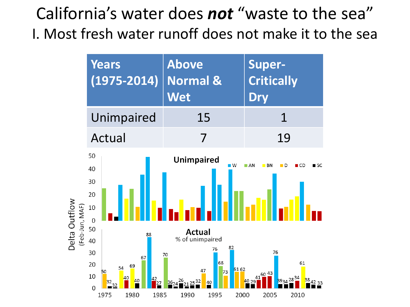California's water does *not* "waste to the sea"

I. Most fresh water runoff does not make it to the sea

|                                            | <b>Years</b><br>$(1975 - 2014)$                                                                         |                  | Above<br><b>Normal &amp;</b><br><b>Wet</b>                    |                                                     | <b>Super-</b><br><b>Critically</b><br>Dry              |                                                                        |
|--------------------------------------------|---------------------------------------------------------------------------------------------------------|------------------|---------------------------------------------------------------|-----------------------------------------------------|--------------------------------------------------------|------------------------------------------------------------------------|
| Delta Outflow<br><sub>(Feb-Jun, MAF)</sub> | Unimpaired                                                                                              |                  | 15                                                            |                                                     | $\mathbf 1$                                            |                                                                        |
|                                            | Actual                                                                                                  |                  | 7                                                             |                                                     | 19                                                     |                                                                        |
|                                            | 50<br>40<br>30<br>20<br>10<br>$\mathbf 0$<br>50                                                         | 88               | <b>Unimpaired</b><br><b>Actual</b>                            | $\blacksquare$ W                                    | $\blacksquare$ AN<br>B <sub>N</sub>                    | $\blacksquare$ CD<br>S <sub>C</sub><br>$\blacksquare$ D                |
|                                            | 40<br>30<br>67<br>20<br>69<br>54<br>50<br>10<br>40<br>40<br>32<br>:32<br>$\overline{0}$<br>1975<br>1980 | 70<br>42<br>1985 | % of unimpaired<br>47<br>$36_{24} \frac{26}{2}$<br>32<br>1990 | 82<br>76<br>68<br>61 62<br>73<br>40<br>1995<br>2000 | 76<br>$41\frac{60}{2}$ $\frac{43}{2}$<br>40,29<br>2005 | 61<br>89 <sub>34</sub> 28 <sup>34</sup><br>38 <sub>42 33</sub><br>2010 |